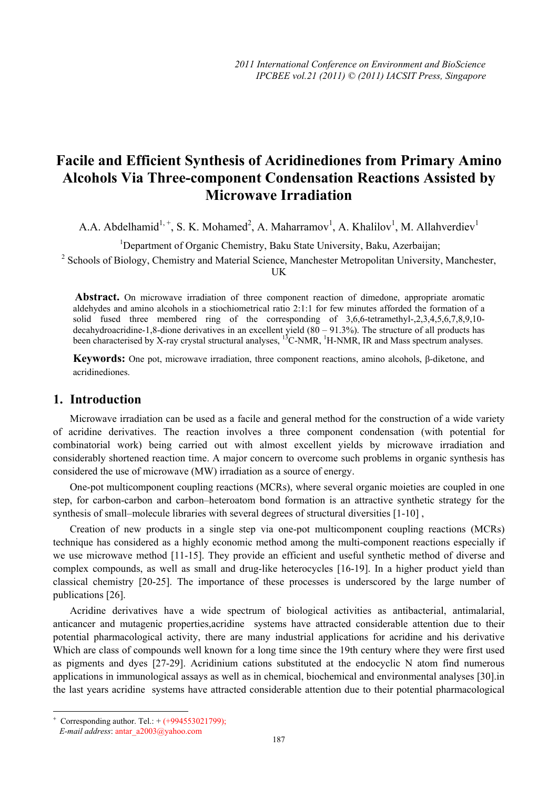# **Facile and Efficient Synthesis of Acridinediones from Primary Amino Alcohols Via Three-component Condensation Reactions Assisted by Microwave Irradiation**

A.A. Abdelhamid<sup>1, +</sup>, S. K. Mohamed<sup>2</sup>, A. Maharramov<sup>1</sup>, A. Khalilov<sup>1</sup>, M. Allahverdiev<sup>1</sup>

<sup>1</sup>Department of Organic Chemistry, Baku State University, Baku, Azerbaijan;

<sup>2</sup> Schools of Biology, Chemistry and Material Science, Manchester Metropolitan University, Manchester,

UK

Abstract. On microwave irradiation of three component reaction of dimedone, appropriate aromatic aldehydes and amino alcohols in a stiochiometrical ratio 2:1:1 for few minutes afforded the formation of a solid fused three membered ring of the corresponding of 3,6,6-tetramethyl-,2,3,4,5,6,7,8,9,10 decahydroacridine-1,8-dione derivatives in an excellent yield  $(80 - 91.3\%)$ . The structure of all products has been characterised by X-ray crystal structural analyses,  $^{13}$ C-NMR,  $^{1}$ H-NMR, IR and Mass spectrum analyses.

**Keywords:** One pot, microwave irradiation, three component reactions, amino alcohols, β-diketone, and acridinediones.

# **1. Introduction**

Microwave irradiation can be used as a facile and general method for the construction of a wide variety of acridine derivatives. The reaction involves a three component condensation (with potential for combinatorial work) being carried out with almost excellent yields by microwave irradiation and considerably shortened reaction time. A major concern to overcome such problems in organic synthesis has considered the use of microwave (MW) irradiation as a source of energy.

One-pot multicomponent coupling reactions (MCRs), where several organic moieties are coupled in one step, for carbon-carbon and carbon–heteroatom bond formation is an attractive synthetic strategy for the synthesis of small–molecule libraries with several degrees of structural diversities [1-10] ,

Creation of new products in a single step via one-pot multicomponent coupling reactions (MCRs) technique has considered as a highly economic method among the multi-component reactions especially if we use microwave method [11-15]. They provide an efficient and useful synthetic method of diverse and complex compounds, as well as small and drug-like heterocycles [16-19]. In a higher product yield than classical chemistry [20-25]. The importance of these processes is underscored by the large number of publications [26].

Acridine derivatives have a wide spectrum of biological activities as antibacterial, antimalarial, anticancer and mutagenic properties,acridine systems have attracted considerable attention due to their potential pharmacological activity, there are many industrial applications for acridine and his derivative Which are class of compounds well known for a long time since the 19th century where they were first used as pigments and dyes [27-29]. Acridinium cations substituted at the endocyclic N atom find numerous applications in immunological assays as well as in chemical, biochemical and environmental analyses [30].in the last years acridine systems have attracted considerable attention due to their potential pharmacological

 $\overline{a}$ 

<sup>+</sup> Corresponding author. Tel.: + (+994553021799);

*E-mail address*: antar\_a2003@yahoo.com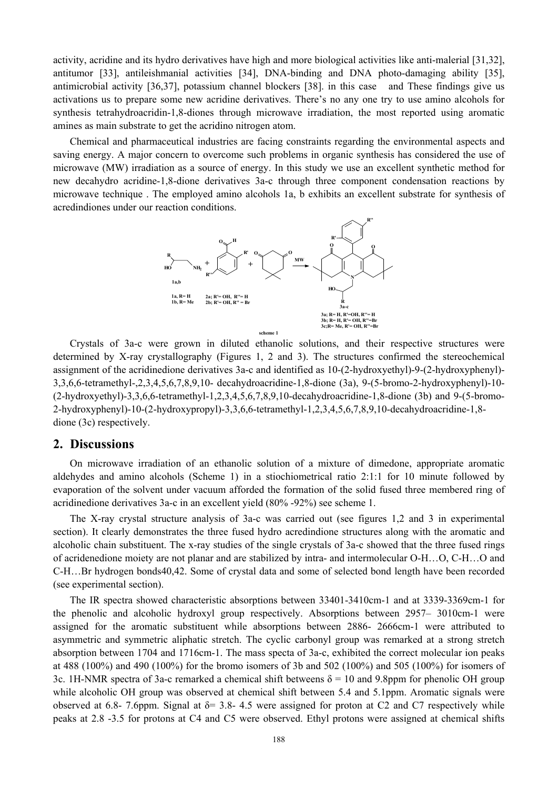activity, acridine and its hydro derivatives have high and more biological activities like anti-malerial [31,32], antitumor [33], antileishmanial activities [34], DNA-binding and DNA photo-damaging ability [35], antimicrobial activity [36,37], potassium channel blockers [38]. in this case and These findings give us activations us to prepare some new acridine derivatives. There's no any one try to use amino alcohols for synthesis tetrahydroacridin-1,8-diones through microwave irradiation, the most reported using aromatic amines as main substrate to get the acridino nitrogen atom.

Chemical and pharmaceutical industries are facing constraints regarding the environmental aspects and saving energy. A major concern to overcome such problems in organic synthesis has considered the use of microwave (MW) irradiation as a source of energy. In this study we use an excellent synthetic method for new decahydro acridine-1,8-dione derivatives 3a-c through three component condensation reactions by microwave technique . The employed amino alcohols 1a, b exhibits an excellent substrate for synthesis of acredindiones under our reaction conditions.



Crystals of 3a-c were grown in diluted ethanolic solutions, and their respective structures were determined by X-ray crystallography (Figures 1, 2 and 3). The structures confirmed the stereochemical assignment of the acridinedione derivatives 3a-c and identified as 10-(2-hydroxyethyl)-9-(2-hydroxyphenyl)- 3,3,6,6-tetramethyl-,2,3,4,5,6,7,8,9,10- decahydroacridine-1,8-dione (3a), 9-(5-bromo-2-hydroxyphenyl)-10- (2-hydroxyethyl)-3,3,6,6-tetramethyl-1,2,3,4,5,6,7,8,9,10-decahydroacridine-1,8-dione (3b) and 9-(5-bromo-2-hydroxyphenyl)-10-(2-hydroxypropyl)-3,3,6,6-tetramethyl-1,2,3,4,5,6,7,8,9,10-decahydroacridine-1,8 dione (3c) respectively.

#### **2. Discussions**

On microwave irradiation of an ethanolic solution of a mixture of dimedone, appropriate aromatic aldehydes and amino alcohols (Scheme 1) in a stiochiometrical ratio 2:1:1 for 10 minute followed by evaporation of the solvent under vacuum afforded the formation of the solid fused three membered ring of acridinedione derivatives 3a-c in an excellent yield (80% -92%) see scheme 1.

The X-ray crystal structure analysis of 3a-c was carried out (see figures 1,2 and 3 in experimental section). It clearly demonstrates the three fused hydro acredindione structures along with the aromatic and alcoholic chain substituent. The x-ray studies of the single crystals of 3a-c showed that the three fused rings of acridenedione moiety are not planar and are stabilized by intra- and intermolecular O-H…O, C-H…O and C-H…Br hydrogen bonds40,42. Some of crystal data and some of selected bond length have been recorded (see experimental section).

The IR spectra showed characteristic absorptions between 33401-3410cm-1 and at 3339-3369cm-1 for the phenolic and alcoholic hydroxyl group respectively. Absorptions between 2957– 3010cm-1 were assigned for the aromatic substituent while absorptions between 2886- 2666cm-1 were attributed to asymmetric and symmetric aliphatic stretch. The cyclic carbonyl group was remarked at a strong stretch absorption between 1704 and 1716cm-1. The mass specta of 3a-c, exhibited the correct molecular ion peaks at 488 (100%) and 490 (100%) for the bromo isomers of 3b and 502 (100%) and 505 (100%) for isomers of 3c. 1H-NMR spectra of 3a-c remarked a chemical shift betweens  $\delta = 10$  and 9.8ppm for phenolic OH group while alcoholic OH group was observed at chemical shift between 5.4 and 5.1ppm. Aromatic signals were observed at 6.8- 7.6ppm. Signal at  $\delta$  = 3.8- 4.5 were assigned for proton at C2 and C7 respectively while peaks at 2.8 -3.5 for protons at C4 and C5 were observed. Ethyl protons were assigned at chemical shifts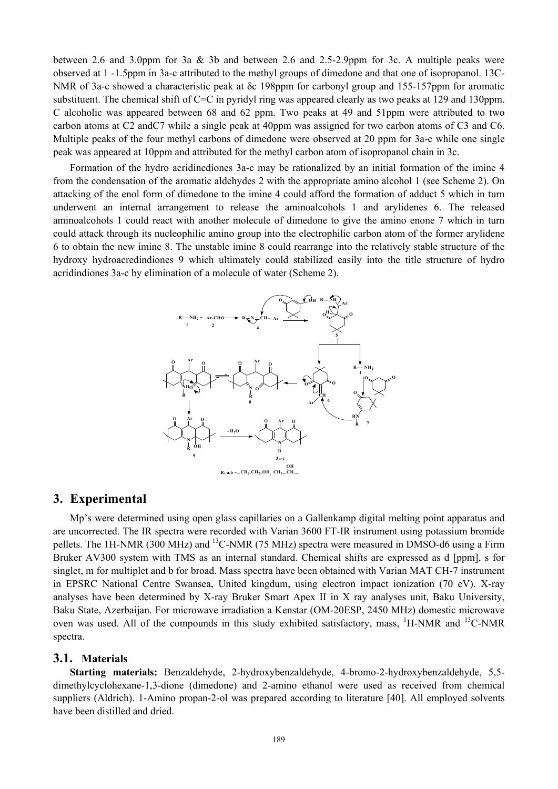between 2.6 and 3.0ppm for 3a & 3b and between 2.6 and 2.5-2.9ppm for 3c. A multiple peaks were observed at 1 -1.5ppm in 3a-c attributed to the methyl groups of dimedone and that one of isopropanol. 13C-NMR of 3a-c showed a characteristic peak at δc 198ppm for carbonyl group and 155-157ppm for aromatic substituent. The chemical shift of C=C in pyridyl ring was appeared clearly as two peaks at 129 and 130ppm. C alcoholic was appeared between 68 and 62 ppm. Two peaks at 49 and 51ppm were attributed to two carbon atoms at C2 andC7 while a single peak at 40ppm was assigned for two carbon atoms of C3 and C6. Multiple peaks of the four methyl carbons of dimedone were observed at 20 ppm for 3a-c while one single peak was appeared at 10ppm and attributed for the methyl carbon atom of isopropanol chain in 3c.

Formation of the hydro acridinediones 3a-c may be rationalized by an initial formation of the imine 4 from the condensation of the aromatic aldehydes 2 with the appropriate amino alcohol 1 (see Scheme 2). On attacking of the enol form of dimedone to the imine 4 could afford the formation of adduct 5 which in turn underwent an internal arrangement to release the aminoalcohols 1 and arylidenes 6. The released aminoalcohols 1 could react with another molecule of dimedone to give the amino enone 7 which in turn could attack through its nucleophilic amino group into the electrophilic carbon atom of the former arylidene 6 to obtain the new imine 8. The unstable imine 8 could rearrange into the relatively stable structure of the hydroxy hydroacredindiones 9 which ultimately could stabilized easily into the title structure of hydro acridindiones 3a-c by elimination of a molecule of water (Scheme 2).



# **3. Experimental**

Mp's were determined using open glass capillaries on a Gallenkamp digital melting point apparatus and are uncorrected. The IR spectra were recorded with Varian 3600 FT-IR instrument using potassium bromide pellets. The 1H-NMR (300 MHz) and <sup>13</sup>C-NMR (75 MHz) spectra were measured in DMSO-d6 using a Firm Bruker AV300 system with TMS as an internal standard. Chemical shifts are expressed as d [ppm], s for singlet, m for multiplet and b for broad. Mass spectra have been obtained with Varian MAT CH-7 instrument in EPSRC National Centre Swansea, United kingdum, using electron impact ionization (70 eV). X-ray analyses have been determined by X-ray Bruker Smart Apex II in X ray analyses unit, Baku University, Baku State, Azerbaijan. For microwave irradiation a Kenstar (OM-20ESP, 2450 MHz) domestic microwave oven was used. All of the compounds in this study exhibited satisfactory, mass, <sup>1</sup>H-NMR and <sup>13</sup>C-NMR spectra.

#### **3.1. Materials**

**Starting materials:** Benzaldehyde, 2-hydroxybenzaldehyde, 4-bromo-2-hydroxybenzaldehyde, 5,5 dimethylcyclohexane-1,3-dione (dimedone) and 2-amino ethanol were used as received from chemical suppliers (Aldrich). 1-Amino propan-2-ol was prepared according to literature [40]. All employed solvents have been distilled and dried.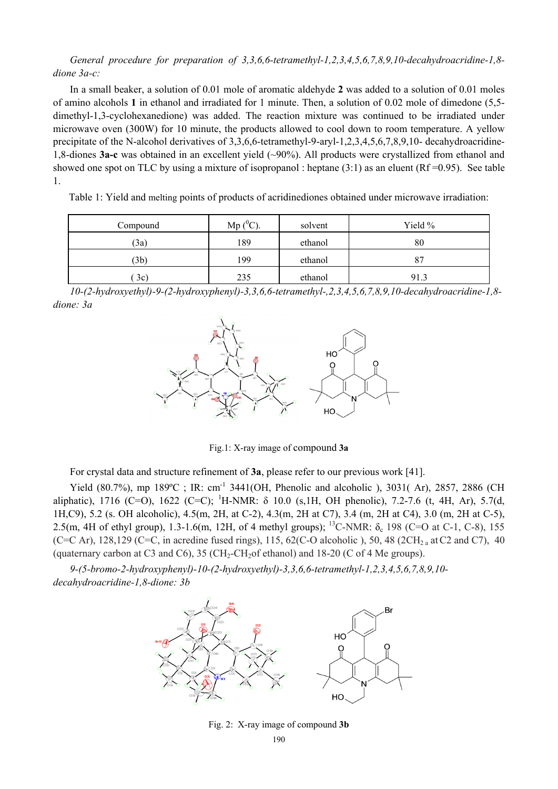*General procedure for preparation of 3,3,6,6-tetramethyl-1,2,3,4,5,6,7,8,9,10-decahydroacridine-1,8 dione 3a-c:* 

In a small beaker, a solution of 0.01 mole of aromatic aldehyde **2** was added to a solution of 0.01 moles of amino alcohols **1** in ethanol and irradiated for 1 minute. Then, a solution of 0.02 mole of dimedone (5,5 dimethyl-1,3-cyclohexanedione) was added. The reaction mixture was continued to be irradiated under microwave oven (300W) for 10 minute, the products allowed to cool down to room temperature. A yellow precipitate of the N-alcohol derivatives of 3,3,6,6-tetramethyl-9-aryl-1,2,3,4,5,6,7,8,9,10- decahydroacridine-1,8-diones **3a-c** was obtained in an excellent yield (~90%). All products were crystallized from ethanol and showed one spot on TLC by using a mixture of isopropanol : heptane  $(3:1)$  as an eluent  $(Rf = 0.95)$ . See table 1.

Table 1: Yield and melting points of products of acridinediones obtained under microwave irradiation:

| Compound | Mp $(^0C)$ . | solvent | Yield % |
|----------|--------------|---------|---------|
| (3a)     | 189          | ethanol | 80      |
| (3b)     | 199          | ethanol | 87      |
| 3c)      | 235          | ethanol | 91.3    |

*10-(2-hydroxyethyl)-9-(2-hydroxyphenyl)-3,3,6,6-tetramethyl-,2,3,4,5,6,7,8,9,10-decahydroacridine-1,8 dione: 3a*



Fig.1: X-ray image of compound **3a**

For crystal data and structure refinement of **3a**, please refer to our previous work [41].

Yield (80.7%), mp 189°C ; IR: cm<sup>-1</sup> 3441(OH, Phenolic and alcoholic ), 3031(Ar), 2857, 2886 (CH) aliphatic), 1716 (C=O), 1622 (C=C); <sup>1</sup>H-NMR: δ 10.0 (s,1H, OH phenolic), 7.2-7.6 (t, 4H, Ar), 5.7(d, 1H,C9), 5.2 (s. OH alcoholic), 4.5(m, 2H, at C-2), 4.3(m, 2H at C7), 3.4 (m, 2H at C4), 3.0 (m, 2H at C-5), 2.5(m, 4H of ethyl group), 1.3-1.6(m, 12H, of 4 methyl groups); <sup>13</sup>C-NMR: δ<sub>c</sub> 198 (C=O at C-1, C-8), 155 (C=C Ar), 128,129 (C=C, in acredine fused rings), 115, 62(C-O alcoholic), 50, 48 (2CH<sub>2</sub> a at C2 and C7), 40 (quaternary carbon at C3 and C6),  $35$  (CH<sub>2</sub>-CH<sub>2</sub>of ethanol) and 18-20 (C of 4 Me groups).

*9-(5-bromo-2-hydroxyphenyl)-10-(2-hydroxyethyl)-3,3,6,6-tetramethyl-1,2,3,4,5,6,7,8,9,10 decahydroacridine-1,8-dione: 3b* 



Fig. 2: X-ray image of compound **3b**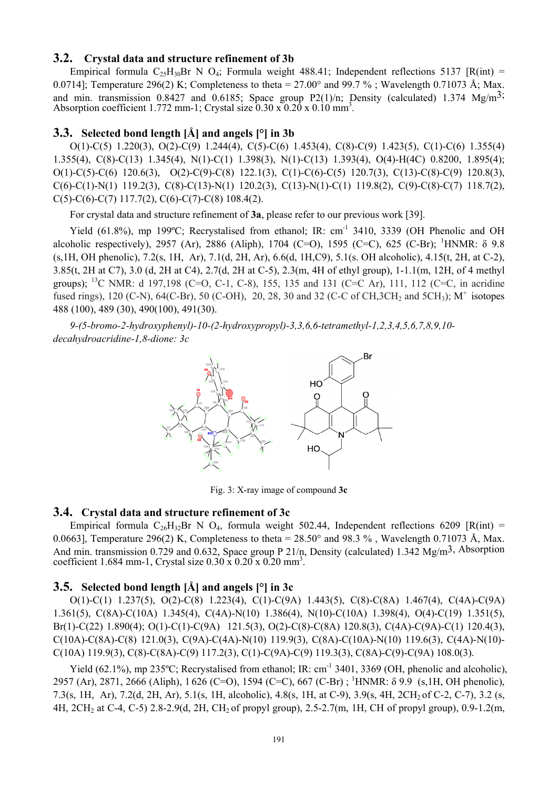# **3.2. Crystal data and structure refinement of 3b**

Empirical formula  $C_{25}H_{30}Br$  N  $O_4$ ; Formula weight 488.41; Independent reflections 5137 [R(int) = 0.0714]; Temperature 296(2) K; Completeness to theta =  $27.00^{\circ}$  and 99.7 %; Wavelength 0.71073 Å; Max. and min. transmission 0.8427 and 0.6185; Space group P2(1)/n; Density (calculated) 1.374  $Mg/m<sup>3</sup>$ ; Absorption coefficient 1.772 mm-1; Crystal size  $0.30 \times 0.20 \times 0.10 \text{ mm}^3$ .

# **3.3. Selected bond length [Å] and angels [°] in 3b**

O(1)-C(5) 1.220(3), O(2)-C(9) 1.244(4), C(5)-C(6) 1.453(4), C(8)-C(9) 1.423(5), C(1)-C(6) 1.355(4) 1.355(4), C(8)-C(13) 1.345(4), N(1)-C(1) 1.398(3), N(1)-C(13) 1.393(4), O(4)-H(4C) 0.8200, 1.895(4); O(1)-C(5)-C(6) 120.6(3), O(2)-C(9)-C(8) 122.1(3), C(1)-C(6)-C(5) 120.7(3), C(13)-C(8)-C(9) 120.8(3),  $C(6)$ -C(1)-N(1) 119.2(3), C(8)-C(13)-N(1) 120.2(3), C(13)-N(1)-C(1) 119.8(2), C(9)-C(8)-C(7) 118.7(2), C(5)-C(6)-C(7) 117.7(2), C(6)-C(7)-C(8) 108.4(2).

For crystal data and structure refinement of **3a**, please refer to our previous work [39].

Yield (61.8%), mp 199°C; Recrystalised from ethanol; IR: cm<sup>-1</sup> 3410, 3339 (OH Phenolic and OH alcoholic respectively), 2957 (Ar), 2886 (Aliph), 1704 (C=O), 1595 (C=C), 625 (C-Br); <sup>1</sup>HNMR:  $\delta$  9.8 (s,1H, OH phenolic), 7.2(s, 1H, Ar), 7.1(d, 2H, Ar), 6.6(d, 1H,C9), 5.1(s. OH alcoholic), 4.15(t, 2H, at C-2), 3.85(t, 2H at C7), 3.0 (d, 2H at C4), 2.7(d, 2H at C-5), 2.3(m, 4H of ethyl group), 1-1.1(m, 12H, of 4 methyl groups); <sup>13</sup>C NMR: d 197,198 (C=O, C-1, C-8), 155, 135 and 131 (C=C Ar), 111, 112 (C=C, in acridine fused rings), 120 (C-N), 64(C-Br), 50 (C-OH), 20, 28, 30 and 32 (C-C of CH, 3CH<sub>2</sub> and 5CH<sub>3</sub>); M<sup>+</sup> isotopes 488 (100), 489 (30), 490(100), 491(30).

*9-(5-bromo-2-hydroxyphenyl)-10-(2-hydroxypropyl)-3,3,6,6-tetramethyl-1,2,3,4,5,6,7,8,9,10 decahydroacridine-1,8-dione: 3c* 



Fig. 3: X-ray image of compound **3c** 

#### **3.4. Crystal data and structure refinement of 3c**

Empirical formula C<sub>26</sub>H<sub>32</sub>Br N O<sub>4</sub>, formula weight 502.44, Independent reflections 6209 [R(int) = 0.0663], Temperature 296(2) K, Completeness to theta =  $28.50^{\circ}$  and 98.3 %, Wavelength 0.71073 Å, Max. And min. transmission 0.729 and 0.632, Space group P 21/n, Density (calculated) 1.342 Mg/m<sup>3</sup>, Absorption coefficient 1.684 mm-1, Crystal size  $0.30 \times 0.20 \times 0.20$  mm<sup>3</sup>.

# **3.5. Selected bond length [Å] and angels [°] in 3c**

O(1)-C(1) 1.237(5), O(2)-C(8) 1.223(4), C(1)-C(9A) 1.443(5), C(8)-C(8A) 1.467(4), C(4A)-C(9A) 1.361(5), C(8A)-C(10A) 1.345(4), C(4A)-N(10) 1.386(4), N(10)-C(10A) 1.398(4), O(4)-C(19) 1.351(5), Br(1)-C(22) 1.890(4); O(1)-C(1)-C(9A) 121.5(3), O(2)-C(8)-C(8A) 120.8(3), C(4A)-C(9A)-C(1) 120.4(3), C(10A)-C(8A)-C(8) 121.0(3), C(9A)-C(4A)-N(10) 119.9(3), C(8A)-C(10A)-N(10) 119.6(3), C(4A)-N(10)- C(10A) 119.9(3), C(8)-C(8A)-C(9) 117.2(3), C(1)-C(9A)-C(9) 119.3(3), C(8A)-C(9)-C(9A) 108.0(3).

Yield (62.1%), mp 235°C; Recrystalised from ethanol; IR: cm<sup>-1</sup> 3401, 3369 (OH, phenolic and alcoholic), 2957 (Ar), 2871, 2666 (Aliph), 1 626 (C=O), 1594 (C=C), 667 (C-Br) ; <sup>1</sup> HNMR: δ 9.9 (s,1H, OH phenolic), 7.3(s, 1H, Ar), 7.2(d, 2H, Ar), 5.1(s, 1H, alcoholic), 4.8(s, 1H, at C-9), 3.9(s, 4H, 2CH2 of C-2, C-7), 3.2 (s, 4H, 2CH2 at C-4, C-5) 2.8-2.9(d, 2H, CH2 of propyl group), 2.5-2.7(m, 1H, CH of propyl group), 0.9-1.2(m,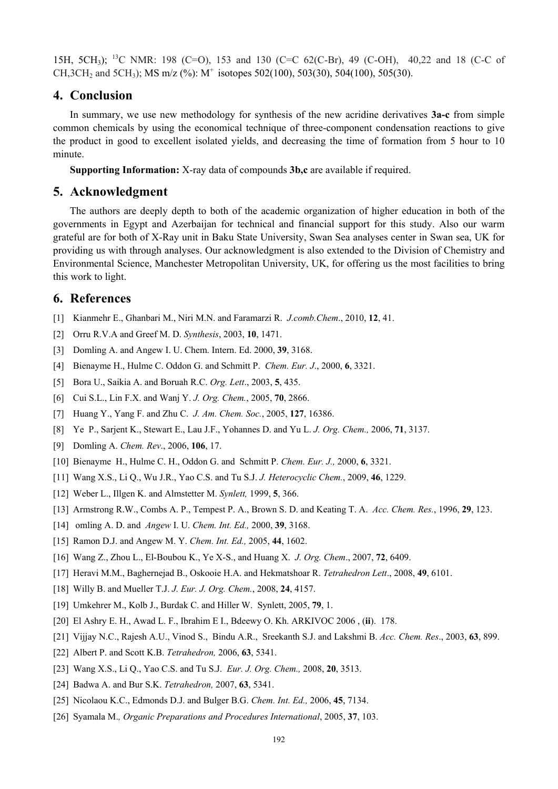15H, 5CH<sub>3</sub>); <sup>13</sup>C NMR: 198 (C=O), 153 and 130 (C=C 62(C-Br), 49 (C-OH), 40,22 and 18 (C-C of CH, 3CH<sub>2</sub> and 5CH<sub>3</sub>); MS m/z (%): M<sup>+</sup> isotopes 502(100), 503(30), 504(100), 505(30).

# **4. Conclusion**

In summary, we use new methodology for synthesis of the new acridine derivatives **3a-c** from simple common chemicals by using the economical technique of three-component condensation reactions to give the product in good to excellent isolated yields, and decreasing the time of formation from 5 hour to 10 minute.

**Supporting Information:** X-ray data of compounds **3b,c** are available if required.

#### **5. Acknowledgment**

The authors are deeply depth to both of the academic organization of higher education in both of the governments in Egypt and Azerbaijan for technical and financial support for this study. Also our warm grateful are for both of X-Ray unit in Baku State University, Swan Sea analyses center in Swan sea, UK for providing us with through analyses. Our acknowledgment is also extended to the Division of Chemistry and Environmental Science, Manchester Metropolitan University, UK, for offering us the most facilities to bring this work to light.

# **6. References**

- [1] Kianmehr E., Ghanbari M., Niri M.N. and Faramarzi R. *J.comb.Chem*., 2010, **12**, 41.
- [2] Orru R.V.A and Greef M. D. *Synthesis*, 2003, **10**, 1471.
- [3] Domling A. and Angew I. U. Chem. Intern. Ed. 2000, **39**, 3168.
- [4] Bienayme H., Hulme C. Oddon G. and Schmitt P. *Chem. Eur. J*., 2000, **6**, 3321.
- [5] Bora U., Saikia A. and Boruah R.C. *Org. Lett*., 2003, **5**, 435.
- [6] Cui S.L., Lin F.X. and Wanj Y. *J. Org. Chem.*, 2005, **70**, 2866.
- [7] Huang Y., Yang F. and Zhu C. *J. Am. Chem. Soc.*, 2005, **127**, 16386.
- [8] Ye P., Sarjent K., Stewart E., Lau J.F., Yohannes D. and Yu L. *J. Org. Chem.,* 2006, **71**, 3137.
- [9] Domling A. *Chem. Rev*., 2006, **106**, 17.
- [10] Bienayme H., Hulme C. H., Oddon G. and Schmitt P. *Chem. Eur. J.,* 2000, **6**, 3321.
- [11] Wang X.S., Li Q., Wu J.R., Yao C.S. and Tu S.J. *J. Heterocyclic Chem.*, 2009, **46**, 1229.
- [12] Weber L., Illgen K. and Almstetter M. *Synlett,* 1999, **5**, 366.
- [13] Armstrong R.W., Combs A. P., Tempest P. A., Brown S. D. and Keating T. A. *Acc. Chem. Res.*, 1996, **29**, 123.
- [14] omling A. D. and *Angew* I. U. *Chem. Int. Ed.,* 2000, **39**, 3168.
- [15] Ramon D.J. and Angew M. Y. *Chem. Int. Ed.,* 2005, **44**, 1602.
- [16] Wang Z., Zhou L., El-Boubou K., Ye X-S., and Huang X. *J. Org. Chem*., 2007, **72**, 6409.
- [17] Heravi M.M., Baghernejad B., Oskooie H.A. and Hekmatshoar R. *Tetrahedron Lett*., 2008, **49**, 6101.
- [18] Willy B. and Mueller T.J. *J. Eur. J. Org. Chem.*, 2008, **24**, 4157.
- [19] Umkehrer M., Kolb J., Burdak C. and Hiller W. Synlett, 2005, **79**, 1.
- [20] El Ashry E. H., Awad L. F., Ibrahim E I., Bdeewy O. Kh. ARKIVOC 2006 , (**ii**). 178.
- [21] Vijjay N.C., Rajesh A.U., Vinod S., Bindu A.R., Sreekanth S.J. and Lakshmi B. *Acc. Chem. Res*., 2003, **63**, 899.
- [22] Albert P. and Scott K.B. *Tetrahedron,* 2006, **63**, 5341.
- [23] Wang X.S., Li Q., Yao C.S. and Tu S.J. *Eur. J. Org. Chem.,* 2008, **20**, 3513.
- [24] Badwa A. and Bur S.K. *Tetrahedron,* 2007, **63**, 5341.
- [25] Nicolaou K.C., Edmonds D.J. and Bulger B.G. *Chem. Int. Ed.,* 2006, **45**, 7134.
- [26] Syamala M.*, Organic Preparations and Procedures International*, 2005, **37**, 103.